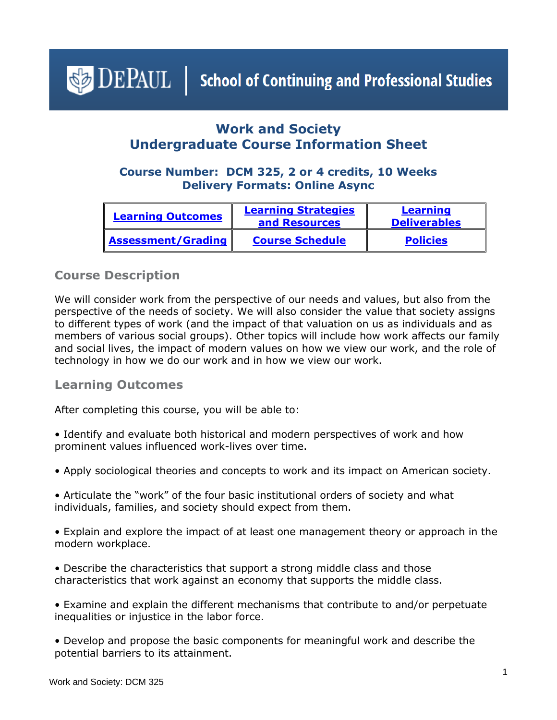<span id="page-0-1"></span> $\triangleleft$  DEPAUL | School of Continuing and Professional Studies

# **Work and Society Undergraduate Course Information Sheet**

## **Course Number: DCM 325, 2 or 4 credits, 10 Weeks Delivery Formats: Online Async**

| <b>Learning Outcomes</b>  | <b>Learning Strategies</b><br>and Resources | Learning<br><b>Deliverables</b> |
|---------------------------|---------------------------------------------|---------------------------------|
| <b>Assessment/Grading</b> | <b>Course Schedule</b>                      | <b>Policies</b>                 |

## **Course Description**

We will consider work from the perspective of our needs and values, but also from the perspective of the needs of society. We will also consider the value that society assigns to different types of work (and the impact of that valuation on us as individuals and as members of various social groups). Other topics will include how work affects our family and social lives, the impact of modern values on how we view our work, and the role of technology in how we do our work and in how we view our work.

## <span id="page-0-0"></span>**Learning Outcomes**

After completing this course, you will be able to:

- Identify and evaluate both historical and modern perspectives of work and how prominent values influenced work-lives over time.
- Apply sociological theories and concepts to work and its impact on American society.
- Articulate the "work" of the four basic institutional orders of society and what individuals, families, and society should expect from them.
- Explain and explore the impact of at least one management theory or approach in the modern workplace.
- Describe the characteristics that support a strong middle class and those characteristics that work against an economy that supports the middle class.
- Examine and explain the different mechanisms that contribute to and/or perpetuate inequalities or injustice in the labor force.
- Develop and propose the basic components for meaningful work and describe the potential barriers to its attainment.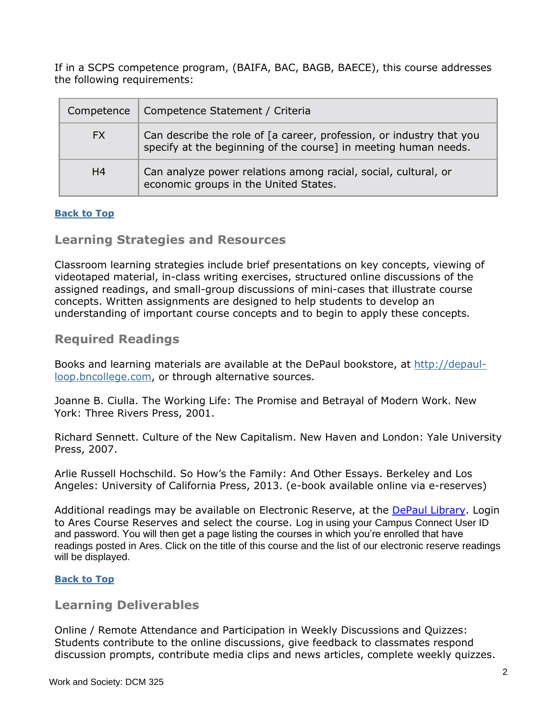If in a SCPS competence program, (BAIFA, BAC, BAGB, BAECE), this course addresses the following requirements:

| Competence     | Competence Statement / Criteria                                                                                                         |
|----------------|-----------------------------------------------------------------------------------------------------------------------------------------|
| FX.            | Can describe the role of [a career, profession, or industry that you<br>specify at the beginning of the course] in meeting human needs. |
| H <sub>4</sub> | Can analyze power relations among racial, social, cultural, or<br>economic groups in the United States.                                 |

#### <span id="page-1-0"></span>**[Back to Top](#page-0-1)**

### **Learning Strategies and Resources**

Classroom learning strategies include brief presentations on key concepts, viewing of videotaped material, in-class writing exercises, structured online discussions of the assigned readings, and small-group discussions of mini-cases that illustrate course concepts. Written assignments are designed to help students to develop an understanding of important course concepts and to begin to apply these concepts.

## **Required Readings**

Books and learning materials are available at the DePaul bookstore, at [http://depaul](http://depaul-loop.bncollege.com/)[loop.bncollege.com,](http://depaul-loop.bncollege.com/) or through alternative sources.

Joanne B. Ciulla. The Working Life: The Promise and Betrayal of Modern Work. New York: Three Rivers Press, 2001.

Richard Sennett. Culture of the New Capitalism. New Haven and London: Yale University Press, 2007.

Arlie Russell Hochschild. So How's the Family: And Other Essays. Berkeley and Los Angeles: University of California Press, 2013. (e-book available online via e-reserves)

Additional readings may be available on Electronic Reserve, at the [DePaul Library.](https://library.depaul.edu/services/Pages/Course-Reserves-Services.aspx) Login to Ares Course Reserves and select the course. Log in using your Campus Connect User ID and password. You will then get a page listing the courses in which you're enrolled that have readings posted in Ares. Click on the title of this course and the list of our electronic reserve readings will be displayed.

#### **[Back to Top](#page-0-1)**

#### <span id="page-1-1"></span>**Learning Deliverables**

Online / Remote Attendance and Participation in Weekly Discussions and Quizzes: Students contribute to the online discussions, give feedback to classmates respond discussion prompts, contribute media clips and news articles, complete weekly quizzes.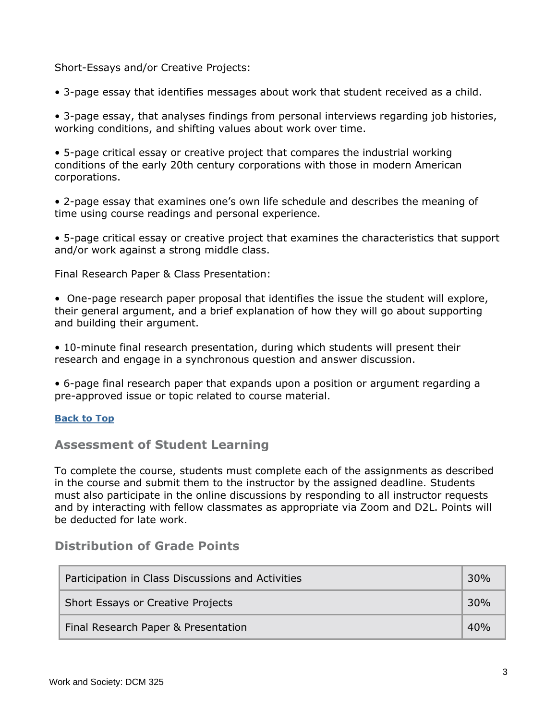Short-Essays and/or Creative Projects:

• 3-page essay that identifies messages about work that student received as a child.

• 3-page essay, that analyses findings from personal interviews regarding job histories, working conditions, and shifting values about work over time.

• 5-page critical essay or creative project that compares the industrial working conditions of the early 20th century corporations with those in modern American corporations.

• 2-page essay that examines one's own life schedule and describes the meaning of time using course readings and personal experience.

• 5-page critical essay or creative project that examines the characteristics that support and/or work against a strong middle class.

Final Research Paper & Class Presentation:

• One-page research paper proposal that identifies the issue the student will explore, their general argument, and a brief explanation of how they will go about supporting and building their argument.

• 10-minute final research presentation, during which students will present their research and engage in a synchronous question and answer discussion.

• 6-page final research paper that expands upon a position or argument regarding a pre-approved issue or topic related to course material.

#### **[Back to Top](#page-0-1)**

#### <span id="page-2-0"></span>**Assessment of Student Learning**

To complete the course, students must complete each of the assignments as described in the course and submit them to the instructor by the assigned deadline. Students must also participate in the online discussions by responding to all instructor requests and by interacting with fellow classmates as appropriate via Zoom and D2L. Points will be deducted for late work.

# **Distribution of Grade Points**

| Participation in Class Discussions and Activities |     |
|---------------------------------------------------|-----|
| Short Essays or Creative Projects                 |     |
| Final Research Paper & Presentation               | 40% |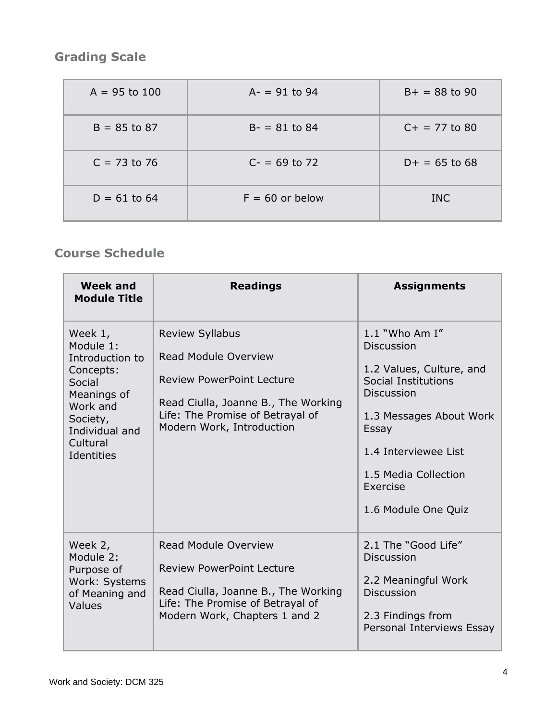# **Grading Scale**

| $A = 95$ to 100 | $A - = 91$ to 94  | $B+ = 88$ to 90 |
|-----------------|-------------------|-----------------|
| $B = 85$ to 87  | $B - = 81$ to 84  | $C+ = 77$ to 80 |
| $C = 73$ to 76  | $C = 69$ to 72    | $D+ = 65$ to 68 |
| $D = 61$ to 64  | $F = 60$ or below | <b>INC</b>      |

# <span id="page-3-0"></span>**Course Schedule**

| Week and<br><b>Module Title</b>                                                                                                                   | <b>Readings</b>                                                                                                                                                                                   | <b>Assignments</b>                                                                                                                                                                                                                   |
|---------------------------------------------------------------------------------------------------------------------------------------------------|---------------------------------------------------------------------------------------------------------------------------------------------------------------------------------------------------|--------------------------------------------------------------------------------------------------------------------------------------------------------------------------------------------------------------------------------------|
| Week 1,<br>Module 1:<br>Introduction to<br>Concepts:<br>Social<br>Meanings of<br>Work and<br>Society,<br>Individual and<br>Cultural<br>Identities | <b>Review Syllabus</b><br><b>Read Module Overview</b><br><b>Review PowerPoint Lecture</b><br>Read Ciulla, Joanne B., The Working<br>Life: The Promise of Betrayal of<br>Modern Work, Introduction | $1.1$ "Who Am I"<br><b>Discussion</b><br>1.2 Values, Culture, and<br>Social Institutions<br><b>Discussion</b><br>1.3 Messages About Work<br>Essay<br>1.4 Interviewee List<br>1.5 Media Collection<br>Exercise<br>1.6 Module One Quiz |
| Week 2,<br>Module 2:<br>Purpose of<br>Work: Systems<br>of Meaning and<br>Values                                                                   | <b>Read Module Overview</b><br><b>Review PowerPoint Lecture</b><br>Read Ciulla, Joanne B., The Working<br>Life: The Promise of Betrayal of<br>Modern Work, Chapters 1 and 2                       | 2.1 The "Good Life"<br><b>Discussion</b><br>2.2 Meaningful Work<br><b>Discussion</b><br>2.3 Findings from<br>Personal Interviews Essay                                                                                               |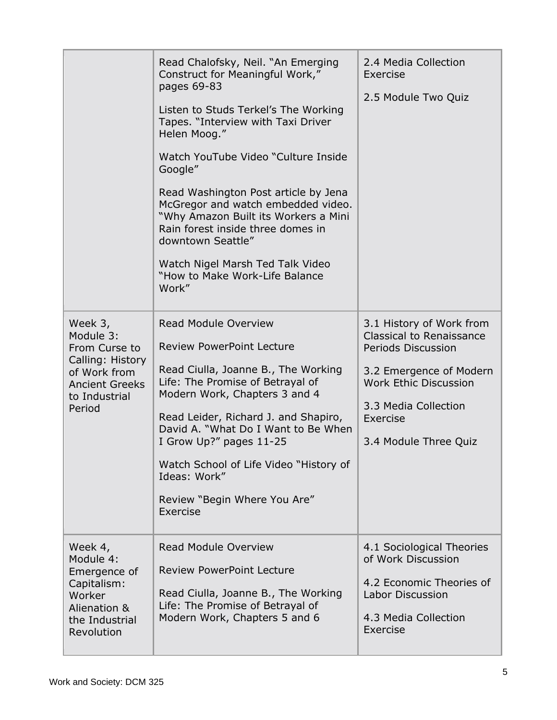|                                                                                                                               | Read Chalofsky, Neil. "An Emerging<br>Construct for Meaningful Work,"<br>pages 69-83<br>Listen to Studs Terkel's The Working<br>Tapes. "Interview with Taxi Driver<br>Helen Moog."<br>Watch YouTube Video "Culture Inside<br>Google"<br>Read Washington Post article by Jena<br>McGregor and watch embedded video.<br>"Why Amazon Built its Workers a Mini<br>Rain forest inside three domes in<br>downtown Seattle"<br>Watch Nigel Marsh Ted Talk Video<br>"How to Make Work-Life Balance<br>Work" | 2.4 Media Collection<br>Exercise<br>2.5 Module Two Quiz                                                                                                                                            |
|-------------------------------------------------------------------------------------------------------------------------------|-----------------------------------------------------------------------------------------------------------------------------------------------------------------------------------------------------------------------------------------------------------------------------------------------------------------------------------------------------------------------------------------------------------------------------------------------------------------------------------------------------|----------------------------------------------------------------------------------------------------------------------------------------------------------------------------------------------------|
| Week 3,<br>Module 3:<br>From Curse to<br>Calling: History<br>of Work from<br><b>Ancient Greeks</b><br>to Industrial<br>Period | <b>Read Module Overview</b><br><b>Review PowerPoint Lecture</b><br>Read Ciulla, Joanne B., The Working<br>Life: The Promise of Betrayal of<br>Modern Work, Chapters 3 and 4<br>Read Leider, Richard J. and Shapiro,<br>David A. "What Do I Want to Be When<br>I Grow Up?" pages 11-25<br>Watch School of Life Video "History of<br>Ideas: Work"<br>Review "Begin Where You Are"<br>Exercise                                                                                                         | 3.1 History of Work from<br>Classical to Renaissance<br>Periods Discussion<br>3.2 Emergence of Modern<br><b>Work Ethic Discussion</b><br>3.3 Media Collection<br>Exercise<br>3.4 Module Three Quiz |
| Week 4,<br>Module 4:<br>Emergence of<br>Capitalism:<br>Worker<br>Alienation &<br>the Industrial<br>Revolution                 | <b>Read Module Overview</b><br><b>Review PowerPoint Lecture</b><br>Read Ciulla, Joanne B., The Working<br>Life: The Promise of Betrayal of<br>Modern Work, Chapters 5 and 6                                                                                                                                                                                                                                                                                                                         | 4.1 Sociological Theories<br>of Work Discussion<br>4.2 Economic Theories of<br>Labor Discussion<br>4.3 Media Collection<br>Exercise                                                                |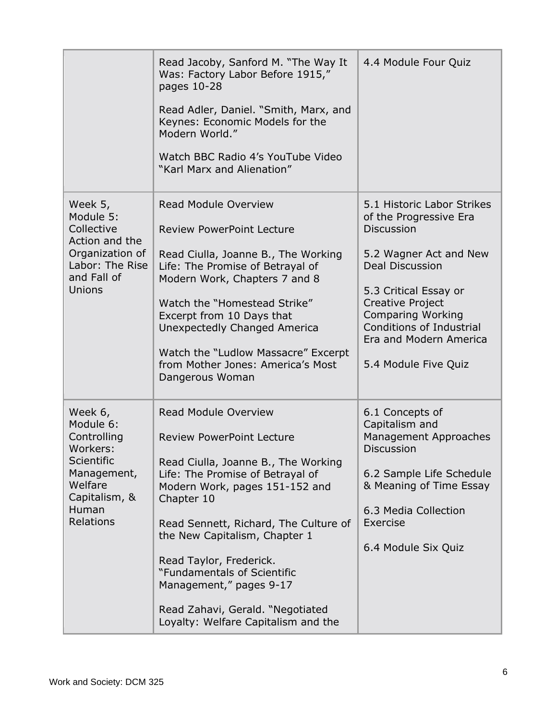|                                                                                                                                              | Read Jacoby, Sanford M. "The Way It<br>Was: Factory Labor Before 1915,"<br>pages 10-28<br>Read Adler, Daniel. "Smith, Marx, and<br>Keynes: Economic Models for the<br>Modern World."<br>Watch BBC Radio 4's YouTube Video<br>"Karl Marx and Alienation"                                                                                                                                                                              | 4.4 Module Four Quiz                                                                                                                                                                                                                                                                        |
|----------------------------------------------------------------------------------------------------------------------------------------------|--------------------------------------------------------------------------------------------------------------------------------------------------------------------------------------------------------------------------------------------------------------------------------------------------------------------------------------------------------------------------------------------------------------------------------------|---------------------------------------------------------------------------------------------------------------------------------------------------------------------------------------------------------------------------------------------------------------------------------------------|
| Week 5,<br>Module 5:<br>Collective<br>Action and the<br>Organization of<br>Labor: The Rise<br>and Fall of<br>Unions                          | <b>Read Module Overview</b><br><b>Review PowerPoint Lecture</b><br>Read Ciulla, Joanne B., The Working<br>Life: The Promise of Betrayal of<br>Modern Work, Chapters 7 and 8<br>Watch the "Homestead Strike"<br>Excerpt from 10 Days that<br>Unexpectedly Changed America<br>Watch the "Ludlow Massacre" Excerpt<br>from Mother Jones: America's Most<br>Dangerous Woman                                                              | 5.1 Historic Labor Strikes<br>of the Progressive Era<br><b>Discussion</b><br>5.2 Wagner Act and New<br><b>Deal Discussion</b><br>5.3 Critical Essay or<br>Creative Project<br><b>Comparing Working</b><br><b>Conditions of Industrial</b><br>Era and Modern America<br>5.4 Module Five Quiz |
| Week 6,<br>Module 6:<br>Controlling<br>Workers:<br><b>Scientific</b><br>Management,<br>Welfare<br>Capitalism, &<br>Human<br><b>Relations</b> | <b>Read Module Overview</b><br><b>Review PowerPoint Lecture</b><br>Read Ciulla, Joanne B., The Working<br>Life: The Promise of Betrayal of<br>Modern Work, pages 151-152 and<br>Chapter 10<br>Read Sennett, Richard, The Culture of<br>the New Capitalism, Chapter 1<br>Read Taylor, Frederick.<br>"Fundamentals of Scientific<br>Management," pages 9-17<br>Read Zahavi, Gerald. "Negotiated<br>Loyalty: Welfare Capitalism and the | 6.1 Concepts of<br>Capitalism and<br>Management Approaches<br><b>Discussion</b><br>6.2 Sample Life Schedule<br>& Meaning of Time Essay<br>6.3 Media Collection<br>Exercise<br>6.4 Module Six Quiz                                                                                           |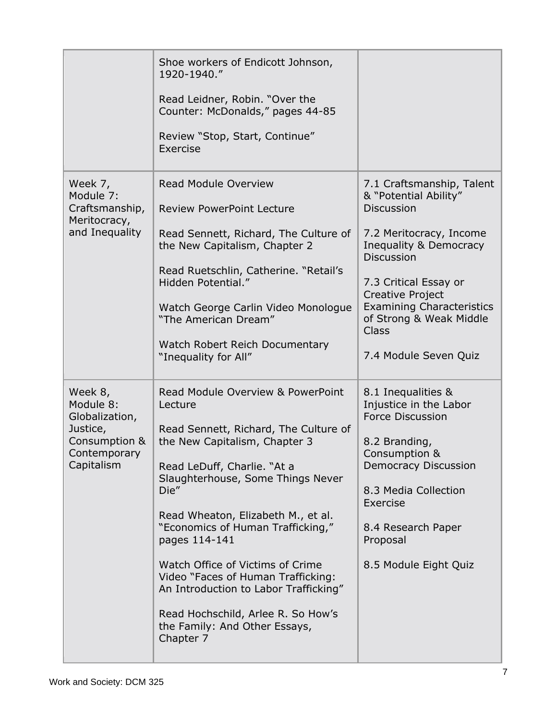|                                                                                                   | Shoe workers of Endicott Johnson,<br>1920-1940."<br>Read Leidner, Robin. "Over the<br>Counter: McDonalds," pages 44-85<br>Review "Stop, Start, Continue"<br>Exercise                                                                                                                                                                                                                                                                                                                                  |                                                                                                                                                                                                                                                                                                        |
|---------------------------------------------------------------------------------------------------|-------------------------------------------------------------------------------------------------------------------------------------------------------------------------------------------------------------------------------------------------------------------------------------------------------------------------------------------------------------------------------------------------------------------------------------------------------------------------------------------------------|--------------------------------------------------------------------------------------------------------------------------------------------------------------------------------------------------------------------------------------------------------------------------------------------------------|
| Week 7,<br>Module 7:<br>Craftsmanship,<br>Meritocracy,<br>and Inequality                          | <b>Read Module Overview</b><br><b>Review PowerPoint Lecture</b><br>Read Sennett, Richard, The Culture of<br>the New Capitalism, Chapter 2<br>Read Ruetschlin, Catherine. "Retail's<br>Hidden Potential."<br>Watch George Carlin Video Monologue<br>"The American Dream"<br>Watch Robert Reich Documentary<br>"Inequality for All"                                                                                                                                                                     | 7.1 Craftsmanship, Talent<br>& "Potential Ability"<br><b>Discussion</b><br>7.2 Meritocracy, Income<br>Inequality & Democracy<br><b>Discussion</b><br>7.3 Critical Essay or<br>Creative Project<br><b>Examining Characteristics</b><br>of Strong & Weak Middle<br><b>Class</b><br>7.4 Module Seven Quiz |
| Week 8,<br>Module 8:<br>Globalization,<br>Justice,<br>Consumption &<br>Contemporary<br>Capitalism | Read Module Overview & PowerPoint<br>Lecture<br>Read Sennett, Richard, The Culture of<br>the New Capitalism, Chapter 3<br>Read LeDuff, Charlie. "At a<br>Slaughterhouse, Some Things Never<br>Die"<br>Read Wheaton, Elizabeth M., et al.<br>"Economics of Human Trafficking,"<br>pages 114-141<br>Watch Office of Victims of Crime<br>Video "Faces of Human Trafficking:<br>An Introduction to Labor Trafficking"<br>Read Hochschild, Arlee R. So How's<br>the Family: And Other Essays,<br>Chapter 7 | 8.1 Inequalities &<br>Injustice in the Labor<br><b>Force Discussion</b><br>8.2 Branding,<br>Consumption &<br><b>Democracy Discussion</b><br>8.3 Media Collection<br>Exercise<br>8.4 Research Paper<br>Proposal<br>8.5 Module Eight Quiz                                                                |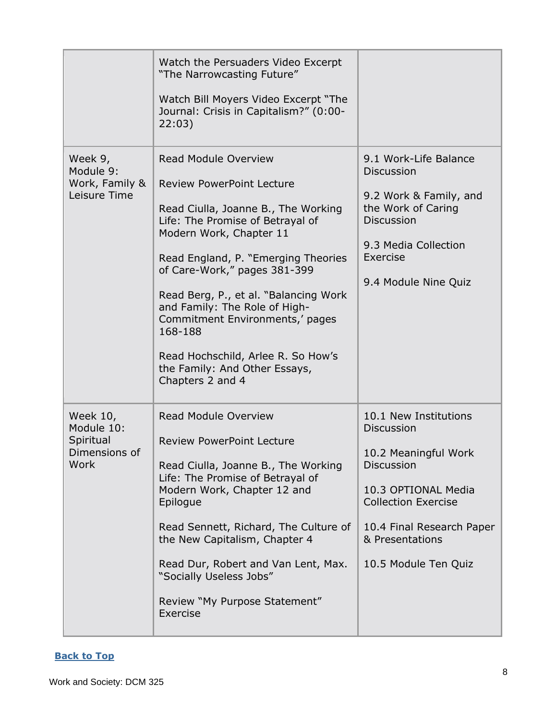|                                                              | Watch the Persuaders Video Excerpt<br>"The Narrowcasting Future"<br>Watch Bill Moyers Video Excerpt "The<br>Journal: Crisis in Capitalism?" (0:00-<br>22:03)                                                                                                                                                                                                                                                                                             |                                                                                                                                                                                                                      |
|--------------------------------------------------------------|----------------------------------------------------------------------------------------------------------------------------------------------------------------------------------------------------------------------------------------------------------------------------------------------------------------------------------------------------------------------------------------------------------------------------------------------------------|----------------------------------------------------------------------------------------------------------------------------------------------------------------------------------------------------------------------|
| Week 9,<br>Module 9:<br>Work, Family &<br>Leisure Time       | Read Module Overview<br><b>Review PowerPoint Lecture</b><br>Read Ciulla, Joanne B., The Working<br>Life: The Promise of Betrayal of<br>Modern Work, Chapter 11<br>Read England, P. "Emerging Theories<br>of Care-Work," pages 381-399<br>Read Berg, P., et al. "Balancing Work<br>and Family: The Role of High-<br>Commitment Environments,' pages<br>168-188<br>Read Hochschild, Arlee R. So How's<br>the Family: And Other Essays,<br>Chapters 2 and 4 | 9.1 Work-Life Balance<br><b>Discussion</b><br>9.2 Work & Family, and<br>the Work of Caring<br><b>Discussion</b><br>9.3 Media Collection<br>Exercise<br>9.4 Module Nine Quiz                                          |
| Week 10,<br>Module 10:<br>Spiritual<br>Dimensions of<br>Work | <b>Read Module Overview</b><br><b>Review PowerPoint Lecture</b><br>Read Ciulla, Joanne B., The Working<br>Life: The Promise of Betrayal of<br>Modern Work, Chapter 12 and<br>Epilogue<br>Read Sennett, Richard, The Culture of<br>the New Capitalism, Chapter 4<br>Read Dur, Robert and Van Lent, Max.<br>"Socially Useless Jobs"<br>Review "My Purpose Statement"<br>Exercise                                                                           | 10.1 New Institutions<br><b>Discussion</b><br>10.2 Meaningful Work<br><b>Discussion</b><br>10.3 OPTIONAL Media<br><b>Collection Exercise</b><br>10.4 Final Research Paper<br>& Presentations<br>10.5 Module Ten Quiz |

### **[Back to Top](#page-0-1)**